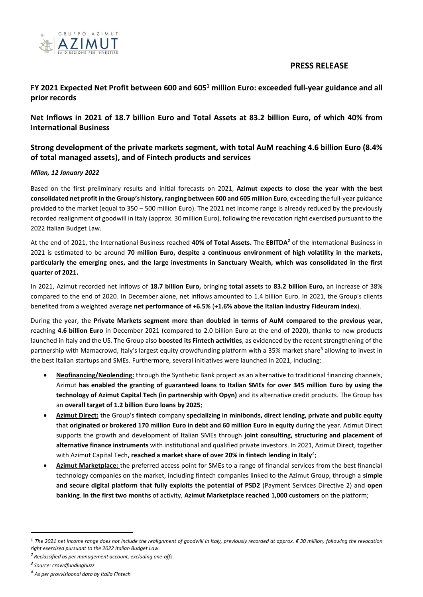

# **PRESS RELEASE**

# **FY 2021 Expected Net Profit between 600 and 605<sup>1</sup> million Euro: exceeded full-year guidance and all prior records**

**Net Inflows in 2021 of 18.7 billion Euro and Total Assets at 83.2 billion Euro, of which 40% from International Business**

# **Strong development of the private markets segment, with total AuM reaching 4.6 billion Euro (8.4% of total managed assets), and of Fintech products and services**

## *Milan, 12 January 2022*

Based on the first preliminary results and initial forecasts on 2021, **Azimut expects to close the year with the best consolidated net profit in the Group's history, ranging between 600 and 605 million Euro**, exceeding the full-year guidance provided to the market (equal to 350 – 500 million Euro). The 2021 net income range is already reduced by the previously recorded realignment of goodwill in Italy (approx. 30 million Euro), following the revocation right exercised pursuant to the 2022 Italian Budget Law.

At the end of 2021, the International Business reached **40% of Total Assets.** The **EBITDA<sup>2</sup>** of the International Business in 2021 is estimated to be around **70 million Euro, despite a continuous environment of high volatility in the markets, particularly the emerging ones, and the large investments in Sanctuary Wealth, which was consolidated in the first quarter of 2021.**

In 2021, Azimut recorded net inflows of **18.7 billion Euro,** bringing **total assets** to **83.2 billion Euro,** an increase of 38% compared to the end of 2020. In December alone, net inflows amounted to 1.4 billion Euro. In 2021, the Group's clients benefited from a weighted average **net performance of +6.5%** (**+1.6% above the Italian industry Fideuram index**).

During the year, the **Private Markets segment more than doubled in terms of AuM compared to the previous year,** reaching **4.6 billion Euro** in December 2021 (compared to 2.0 billion Euro at the end of 2020), thanks to new products launched in Italy and the US. The Group also **boosted its Fintech activities**, as evidenced by the recent strengthening of the partnership with Mamacrowd, Italy's largest equity crowdfunding platform with a 35% market share**<sup>3</sup>** allowing to invest in the best Italian startups and SMEs. Furthermore, several initiatives were launched in 2021, including:

- **Neofinancing/Neolending:** through the Synthetic Bank project as an alternative to traditional financing channels, Azimut **has enabled the granting of guaranteed loans to Italian SMEs for over 345 million Euro by using the technology of Azimut Capital Tech (in partnership with Opyn)** and its alternative credit products. The Group has an **overall target of 1.2 billion Euro loans by 2025**;
- **Azimut Direct:** the Group's **fintech** company **specializing in minibonds, direct lending, private and public equity** that **originated or brokered 170 million Euro in debt and 60 million Euro in equity** during the year. Azimut Direct supports the growth and development of Italian SMEs through **joint consulting, structuring and placement of alternative finance instruments** with institutional and qualified private investors. In 2021, Azimut Direct, together with Azimut Capital Tech**, reached a market share of over 20% in fintech lending in Italy<sup>4</sup>;**
- **Azimut Marketplace:** the preferred access point for SMEs to a range of financial services from the best financial technology companies on the market, including fintech companies linked to the Azimut Group, through a **simple and secure digital platform that fully exploits the potential of PSD2** (Payment Services Directive 2) and **open banking**. **In the first two months** of activity, **Azimut Marketplace reached 1,000 customers** on the platform;

 $\overline{a}$ 

*<sup>1</sup> The 2021 net income range does not include the realignment of goodwill in Italy, previously recorded at approx. € 30 million, following the revocation right exercised pursuant to the 2022 Italian Budget Law.*

*<sup>2</sup> Reclassified as per management account, excluding one-offs.*

*<sup>3</sup> Source: crowdfundingbuzz*

*<sup>4</sup> As per provvisioonal data by Italia Fintech*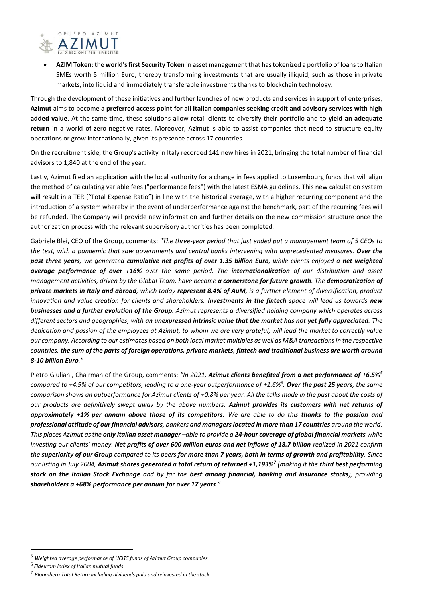

• **AZIM Token:** the **world's first Security Token** in asset management that has tokenized a portfolio of loans to Italian SMEs worth 5 million Euro, thereby transforming investments that are usually illiquid, such as those in private markets, into liquid and immediately transferable investments thanks to blockchain technology.

Through the development of these initiatives and further launches of new products and services in support of enterprises, **Azimut** aims to become a **preferred access point for all Italian companies seeking credit and advisory services with high added value**. At the same time, these solutions allow retail clients to diversify their portfolio and to **yield an adequate return** in a world of zero-negative rates. Moreover, Azimut is able to assist companies that need to structure equity operations or grow internationally, given its presence across 17 countries.

On the recruitment side, the Group's activity in Italy recorded 141 new hires in 2021, bringing the total number of financial advisors to 1,840 at the end of the year.

Lastly, Azimut filed an application with the local authority for a change in fees applied to Luxembourg funds that will align the method of calculating variable fees ("performance fees") with the latest ESMA guidelines. This new calculation system will result in a TER ("Total Expense Ratio") in line with the historical average, with a higher recurring component and the introduction of a system whereby in the event of underperformance against the benchmark, part of the recurring fees will be refunded. The Company will provide new information and further details on the new commission structure once the authorization process with the relevant supervisory authorities has been completed.

Gabriele Blei, CEO of the Group, comments: *"The three-year period that just ended put a management team of 5 CEOs to the test, with a pandemic that saw governments and central banks intervening with unprecedented measures. Over the past three years, we generated cumulative net profits of over 1.35 billion Euro, while clients enjoyed a net weighted average performance of over +16% over the same period. The internationalization of our distribution and asset management activities, driven by the Global Team, have become a cornerstone for future growth. The democratization of private markets in Italy and abroad, which today represent 8.4% of AuM, is a further element of diversification, product innovation and value creation for clients and shareholders. Investments in the fintech space will lead us towards new businesses and a further evolution of the Group. Azimut represents a diversified holding company which operates across different sectors and geographies, with an unexpressed intrinsic value that the market has not yet fully appreciated. The dedication and passion of the employees at Azimut, to whom we are very grateful, will lead the market to correctly value our company. According to our estimates based on both local market multiples as well as M&A transactions in the respective countries, the sum of the parts of foreign operations, private markets, fintech and traditional business are worth around 8-10 billion Euro."*

Pietro Giuliani, Chairman of the Group, comments: *"In 2021, Azimut clients benefited from a net performance of +6.5%<sup>5</sup> compared to +4.9% of our competitors, leading to a one-year outperformance of +1.6%<sup>6</sup> . Over the past 25 years, the same comparison shows an outperformance for Azimut clients of +0.8% per year. All the talks made in the past about the costs of our products are definitively swept away by the above numbers: Azimut provides its customers with net returns of approximately +1% per annum above those of its competitors. We are able to do this thanks to the passion and professional attitude of our financial advisors, bankers and managerslocated in more than 17 countries around the world. This places Azimut as the only Italian asset manager –able to provide a 24-hour coverage of global financial markets while investing our clients' money. Net profits of over 600 million euros and net inflows of 18.7 billion realized in 2021 confirm the superiority of our Group compared to its peers for more than 7 years, both in terms of growth and profitability. Since our listing in July 2004, Azimut shares generated a total return of returned +1,193%<sup>7</sup> (making it the third best performing stock on the Italian Stock Exchange and by far the best among financial, banking and insurance stocks), providing shareholders a +68% performance per annum for over 17 years."*

 $\overline{a}$ 

<sup>5</sup> *Weighted average performance of UCITS funds of Azimut Group companies*

<sup>6</sup> *Fideuram index of Italian mutual funds*

<sup>7</sup> *Bloomberg Total Return including dividends paid and reinvested in the stock*